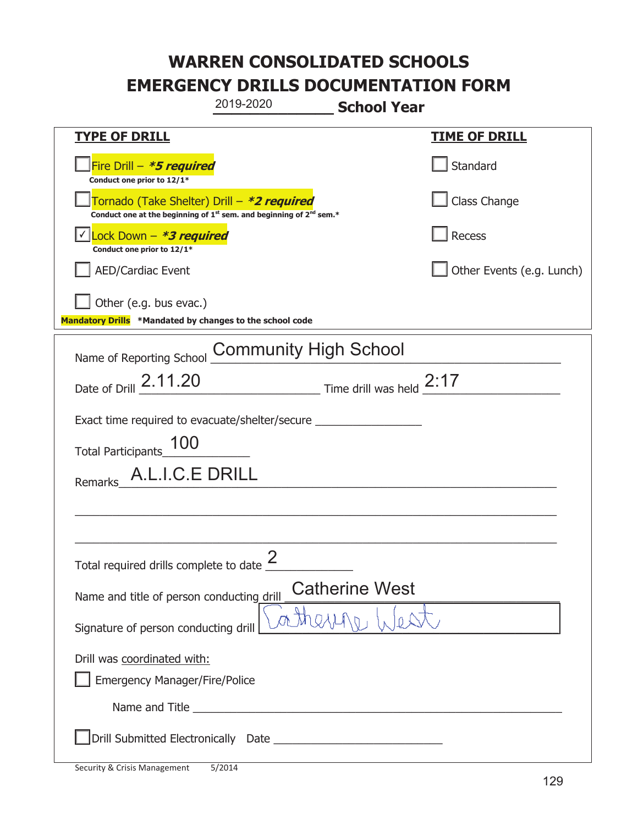|                                                                                    | 2019-2020                                                                                   | <b>School Year</b>                                    |                           |
|------------------------------------------------------------------------------------|---------------------------------------------------------------------------------------------|-------------------------------------------------------|---------------------------|
| <u>TYPE OF DRILL</u>                                                               |                                                                                             |                                                       | <b>TIME OF DRILL</b>      |
| Fire Drill - *5 required<br>Conduct one prior to 12/1*                             |                                                                                             |                                                       | Standard                  |
| Tornado (Take Shelter) Drill – *2 required                                         | Conduct one at the beginning of 1 <sup>st</sup> sem. and beginning of 2 <sup>nd</sup> sem.* |                                                       | Class Change              |
| Lock Down - <b>*3 required</b><br>Conduct one prior to 12/1*                       |                                                                                             |                                                       | Recess                    |
| <b>AED/Cardiac Event</b>                                                           |                                                                                             |                                                       | Other Events (e.g. Lunch) |
| Other (e.g. bus evac.)<br>Mandatory Drills *Mandated by changes to the school code |                                                                                             |                                                       |                           |
| Name of Reporting School                                                           | <b>Community High School</b>                                                                |                                                       |                           |
| Date of Drill 2.11.20                                                              |                                                                                             | $\frac{2:17}{1}$ Time drill was held $\frac{2:17}{1}$ |                           |
| Exact time required to evacuate/shelter/secure _________________________________   |                                                                                             |                                                       |                           |
| 100<br>Total Participants_                                                         |                                                                                             |                                                       |                           |
| A.L.I.C.E DRILL<br>Remarks                                                         |                                                                                             |                                                       |                           |
|                                                                                    |                                                                                             |                                                       |                           |
|                                                                                    |                                                                                             |                                                       |                           |
| Total required drills complete to date $\overline{\phantom{a}}$                    | ク                                                                                           |                                                       |                           |
| Name and title of person conducting drill                                          |                                                                                             | <b>Catherine West</b>                                 |                           |
| Signature of person conducting drill                                               |                                                                                             |                                                       |                           |
| Drill was coordinated with:<br><b>Emergency Manager/Fire/Police</b>                |                                                                                             |                                                       |                           |
|                                                                                    |                                                                                             |                                                       |                           |
|                                                                                    |                                                                                             |                                                       |                           |

T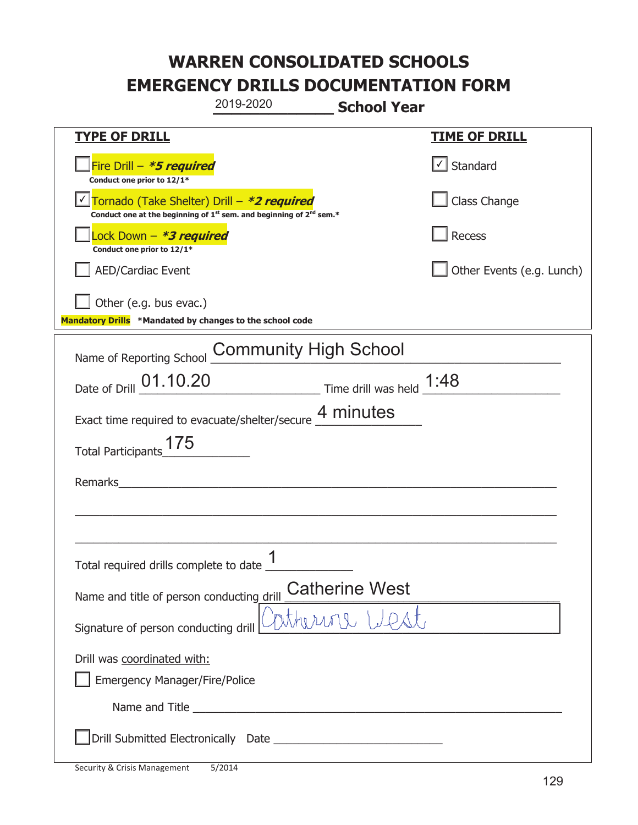|                                                                                    | 2019-2020                                                                                   | <b>School Year</b>    |                                   |
|------------------------------------------------------------------------------------|---------------------------------------------------------------------------------------------|-----------------------|-----------------------------------|
| <u>TYPE OF DRILL</u>                                                               |                                                                                             |                       | <b>TIME OF DRILL</b>              |
| Fire Drill - *5 required<br>Conduct one prior to 12/1*                             |                                                                                             |                       | $\lfloor \angle \rfloor$ Standard |
| Tornado (Take Shelter) Drill – *2 required                                         | Conduct one at the beginning of 1 <sup>st</sup> sem. and beginning of 2 <sup>nd</sup> sem.* |                       | Class Change                      |
| Lock Down - *3 required<br>Conduct one prior to 12/1*                              |                                                                                             |                       | Recess                            |
| <b>AED/Cardiac Event</b>                                                           |                                                                                             |                       | Other Events (e.g. Lunch)         |
| Other (e.g. bus evac.)<br>Mandatory Drills *Mandated by changes to the school code |                                                                                             |                       |                                   |
| Name of Reporting School                                                           | <b>Community High School</b>                                                                |                       |                                   |
| Date of Drill 01.10.20                                                             |                                                                                             |                       |                                   |
| Exact time required to evacuate/shelter/secure 4 minutes                           |                                                                                             |                       |                                   |
| <b>Total Participants</b>                                                          |                                                                                             |                       |                                   |
| Remarks                                                                            |                                                                                             |                       |                                   |
|                                                                                    |                                                                                             |                       |                                   |
| Total required drills complete to date _t                                          | 1                                                                                           |                       |                                   |
| Name and title of person conducting drill                                          |                                                                                             | <b>Catherine West</b> |                                   |
| Signature of person conducting drill                                               |                                                                                             | inthering West        |                                   |
| Drill was coordinated with:<br><b>Emergency Manager/Fire/Police</b>                |                                                                                             |                       |                                   |
|                                                                                    |                                                                                             |                       |                                   |
|                                                                                    |                                                                                             |                       |                                   |

T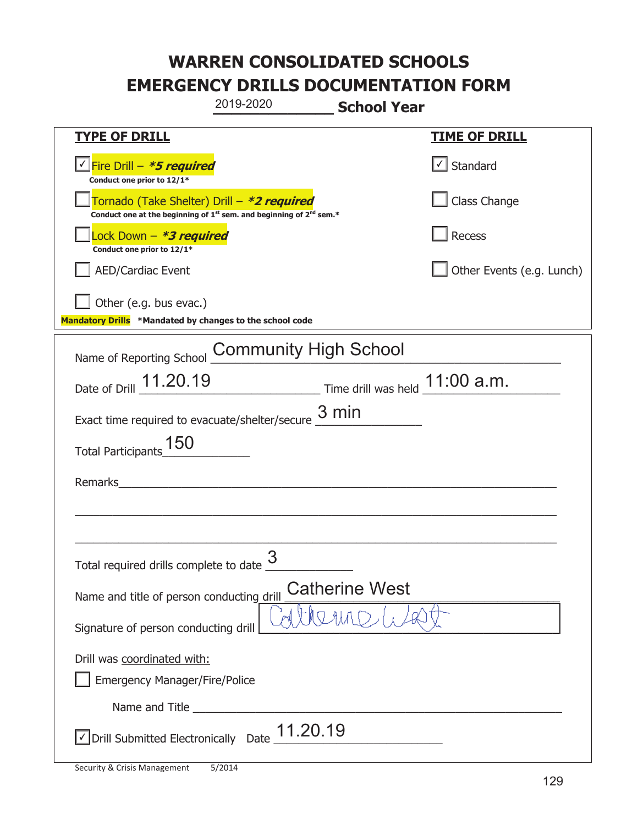|                                                                                    | 2019-2020                                                                                   | <b>School Year</b>    |                                   |
|------------------------------------------------------------------------------------|---------------------------------------------------------------------------------------------|-----------------------|-----------------------------------|
| <u>TYPE OF DRILL</u>                                                               |                                                                                             |                       | <b>TIME OF DRILL</b>              |
| Fire Drill - *5 required<br>Conduct one prior to 12/1*                             |                                                                                             |                       | $\lfloor \angle \rfloor$ Standard |
| Tornado (Take Shelter) Drill – *2 required                                         | Conduct one at the beginning of 1 <sup>st</sup> sem. and beginning of 2 <sup>nd</sup> sem.* |                       | Class Change                      |
| Lock Down - *3 required<br>Conduct one prior to 12/1*                              |                                                                                             |                       | Recess                            |
| <b>AED/Cardiac Event</b>                                                           |                                                                                             |                       | Other Events (e.g. Lunch)         |
| Other (e.g. bus evac.)<br>Mandatory Drills *Mandated by changes to the school code |                                                                                             |                       |                                   |
| Name of Reporting School                                                           | <b>Community High School</b>                                                                |                       |                                   |
| Date of Drill 11.20.19                                                             | Time drill was held $11:00$ a.m.                                                            |                       |                                   |
| Exact time required to evacuate/shelter/secure $\frac{3 \text{ min}}{2}$           |                                                                                             |                       |                                   |
| <b>Total Participants</b>                                                          |                                                                                             |                       |                                   |
| Remarks                                                                            |                                                                                             |                       |                                   |
|                                                                                    |                                                                                             |                       |                                   |
|                                                                                    |                                                                                             |                       |                                   |
| Total required drills complete to date $\frac{3}{2}$                               |                                                                                             |                       |                                   |
| Name and title of person conducting drill                                          |                                                                                             | <b>Catherine West</b> |                                   |
| Signature of person conducting drill                                               |                                                                                             |                       |                                   |
| Drill was coordinated with:                                                        |                                                                                             |                       |                                   |
| <b>Emergency Manager/Fire/Police</b>                                               |                                                                                             |                       |                                   |
|                                                                                    |                                                                                             |                       |                                   |
| $\vee$ Drill Submitted Electronically Date $\underline{\hspace{1em}11.20.19}$      |                                                                                             |                       |                                   |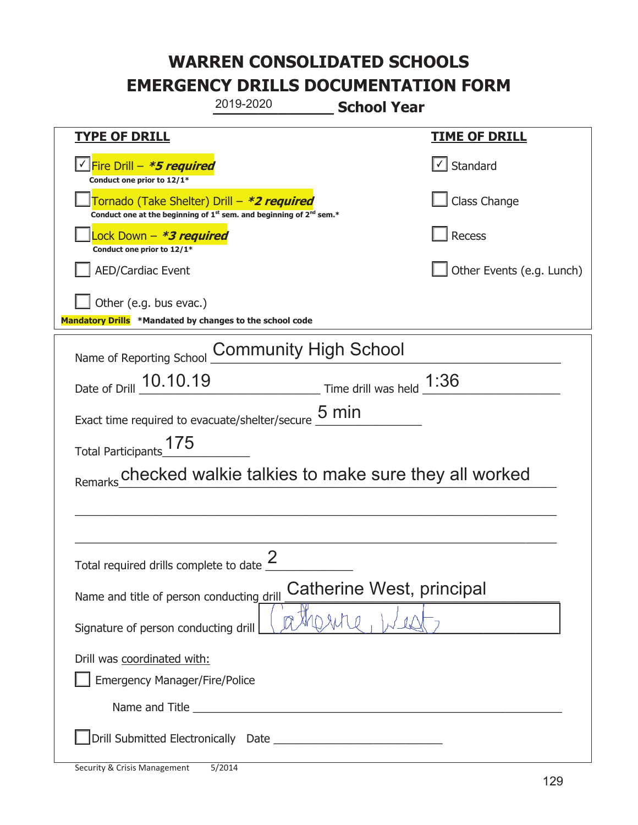|                                                                                    | 2019-2020                                                                                                                                 | <b>School Year</b>         |                                   |
|------------------------------------------------------------------------------------|-------------------------------------------------------------------------------------------------------------------------------------------|----------------------------|-----------------------------------|
| <b>TYPE OF DRILL</b>                                                               |                                                                                                                                           |                            | <b>TIME OF DRILL</b>              |
| <u>√ Fire Drill – <i>*5 required</i></u><br>Conduct one prior to 12/1*             |                                                                                                                                           |                            | $\lfloor \angle \rfloor$ Standard |
|                                                                                    | Tornado (Take Shelter) Drill – *2 required<br>Conduct one at the beginning of 1 <sup>st</sup> sem. and beginning of 2 <sup>nd</sup> sem.* |                            | Class Change                      |
| Lock Down - *3 required<br>Conduct one prior to 12/1*                              |                                                                                                                                           |                            | Recess                            |
| <b>AED/Cardiac Event</b>                                                           |                                                                                                                                           |                            | Other Events (e.g. Lunch)         |
| Other (e.g. bus evac.)<br>Mandatory Drills *Mandated by changes to the school code |                                                                                                                                           |                            |                                   |
| Name of Reporting School                                                           | <b>Community High School</b>                                                                                                              |                            |                                   |
| Date of Drill 10.10.19                                                             |                                                                                                                                           | Time drill was held $1:36$ |                                   |
| Exact time required to evacuate/shelter/secure                                     |                                                                                                                                           | $5 \text{ min}$            |                                   |
| 175<br><b>Total Participants</b>                                                   |                                                                                                                                           |                            |                                   |
|                                                                                    | checked walkie talkies to make sure they all worked                                                                                       |                            |                                   |
|                                                                                    |                                                                                                                                           |                            |                                   |
|                                                                                    |                                                                                                                                           |                            |                                   |
| Total required drills complete to date $\frac{2}{3}$                               |                                                                                                                                           |                            |                                   |
| Name and title of person conducting drill                                          |                                                                                                                                           | Catherine West, principal  |                                   |
| Signature of person conducting drill                                               |                                                                                                                                           |                            |                                   |
| Drill was coordinated with:<br><b>Emergency Manager/Fire/Police</b>                |                                                                                                                                           |                            |                                   |
|                                                                                    |                                                                                                                                           |                            |                                   |
|                                                                                    |                                                                                                                                           |                            |                                   |

t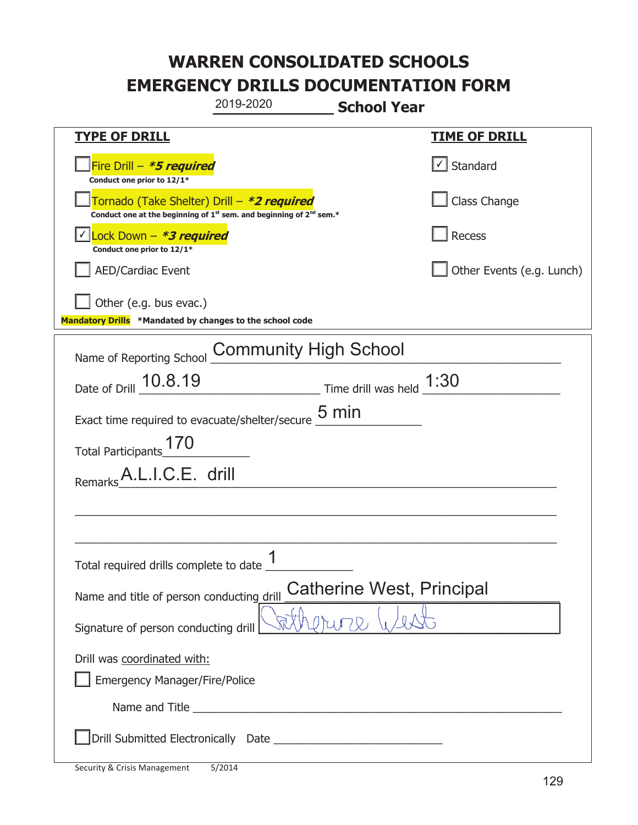|                                                                                    | 2019-2020                                                                                                                                 | <b>School Year</b>                                |                                   |
|------------------------------------------------------------------------------------|-------------------------------------------------------------------------------------------------------------------------------------------|---------------------------------------------------|-----------------------------------|
| <b>TYPE OF DRILL</b>                                                               |                                                                                                                                           |                                                   | <b>TIME OF DRILL</b>              |
| Fire Drill - *5 required<br>Conduct one prior to 12/1*                             |                                                                                                                                           |                                                   | $\lfloor \angle \rfloor$ Standard |
|                                                                                    | Tornado (Take Shelter) Drill – *2 required<br>Conduct one at the beginning of 1 <sup>st</sup> sem. and beginning of 2 <sup>nd</sup> sem.* |                                                   | Class Change                      |
| Lock Down - *3 required<br>Conduct one prior to 12/1*                              |                                                                                                                                           |                                                   | <b>Recess</b>                     |
| <b>AED/Cardiac Event</b>                                                           |                                                                                                                                           |                                                   | Other Events (e.g. Lunch)         |
| Other (e.g. bus evac.)<br>Mandatory Drills *Mandated by changes to the school code |                                                                                                                                           |                                                   |                                   |
| Name of Reporting School                                                           | <b>Community High School</b>                                                                                                              |                                                   |                                   |
| Date of Drill 10.8.19                                                              |                                                                                                                                           | $\frac{1}{30}$ Time drill was held $\frac{1}{30}$ |                                   |
| Exact time required to evacuate/shelter/secure $\underline{\mathsf{5}}$ min        |                                                                                                                                           |                                                   |                                   |
| <b>Total Participants</b>                                                          |                                                                                                                                           |                                                   |                                   |
| A.L.I.C.E. drill<br>Remarks                                                        |                                                                                                                                           |                                                   |                                   |
|                                                                                    |                                                                                                                                           |                                                   |                                   |
|                                                                                    |                                                                                                                                           |                                                   |                                   |
| Total required drills complete to date _t                                          | 1                                                                                                                                         |                                                   |                                   |
| Name and title of person conducting drill                                          |                                                                                                                                           | Catherine West, Principal                         |                                   |
| Signature of person conducting drill                                               |                                                                                                                                           |                                                   |                                   |
| Drill was coordinated with:<br><b>Emergency Manager/Fire/Police</b>                |                                                                                                                                           |                                                   |                                   |
|                                                                                    | Name and Title <b>Name and Title</b>                                                                                                      |                                                   |                                   |
|                                                                                    |                                                                                                                                           |                                                   |                                   |

T